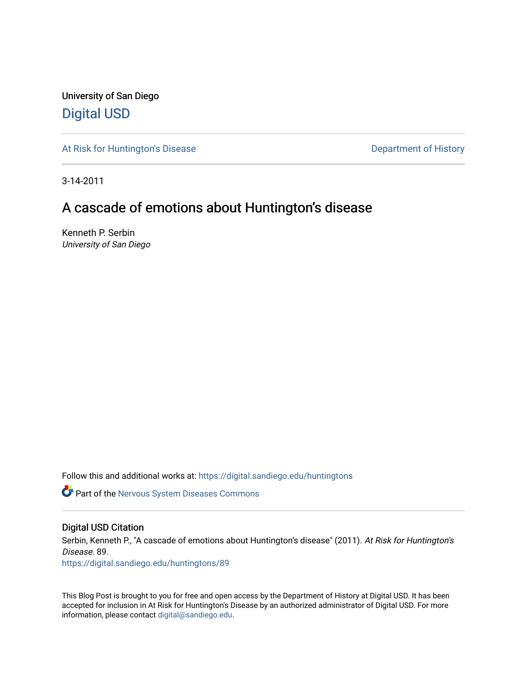University of San Diego [Digital USD](https://digital.sandiego.edu/)

[At Risk for Huntington's Disease](https://digital.sandiego.edu/huntingtons) **Department of History** Department of History

3-14-2011

# A cascade of emotions about Huntington's disease

Kenneth P. Serbin University of San Diego

Follow this and additional works at: [https://digital.sandiego.edu/huntingtons](https://digital.sandiego.edu/huntingtons?utm_source=digital.sandiego.edu%2Fhuntingtons%2F89&utm_medium=PDF&utm_campaign=PDFCoverPages)

**C** Part of the [Nervous System Diseases Commons](http://network.bepress.com/hgg/discipline/928?utm_source=digital.sandiego.edu%2Fhuntingtons%2F89&utm_medium=PDF&utm_campaign=PDFCoverPages)

# Digital USD Citation

Serbin, Kenneth P., "A cascade of emotions about Huntington's disease" (2011). At Risk for Huntington's Disease. 89.

[https://digital.sandiego.edu/huntingtons/89](https://digital.sandiego.edu/huntingtons/89?utm_source=digital.sandiego.edu%2Fhuntingtons%2F89&utm_medium=PDF&utm_campaign=PDFCoverPages)

This Blog Post is brought to you for free and open access by the Department of History at Digital USD. It has been accepted for inclusion in At Risk for Huntington's Disease by an authorized administrator of Digital USD. For more information, please contact [digital@sandiego.edu.](mailto:digital@sandiego.edu)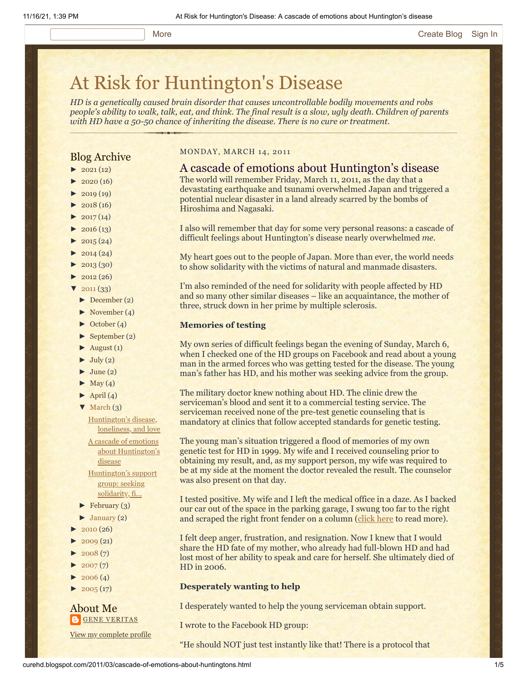# [At Risk for Huntington's Disease](http://curehd.blogspot.com/)

*HD is a genetically caused brain disorder that causes uncontrollable bodily movements and robs people's ability to walk, talk, eat, and think. The final result is a slow, ugly death. Children of parents with HD have a 50-50 chance of inheriting the disease. There is no cure or treatment.*

# Blog Archive

- $\blacktriangleright$  [2021](http://curehd.blogspot.com/2021/)(12)
- $2020(16)$  $2020(16)$
- $\blacktriangleright$  [2019](http://curehd.blogspot.com/2019/) (19)
- $\blacktriangleright$  [2018](http://curehd.blogspot.com/2018/) (16)
- $2017(14)$  $2017(14)$
- $2016(13)$  $2016(13)$
- $\blacktriangleright$  [2015](http://curehd.blogspot.com/2015/) (24)
- $\blacktriangleright$  [2014](http://curehd.blogspot.com/2014/) (24)
- $\blacktriangleright$  [2013](http://curehd.blogspot.com/2013/) (30)
- $\blacktriangleright$  [2012](http://curehd.blogspot.com/2012/) (26)
- $'$  [2011](http://curehd.blogspot.com/2011/)  $(33)$
- [►](javascript:void(0)) [December](http://curehd.blogspot.com/2011/12/) (2)
- [►](javascript:void(0)) [November](http://curehd.blogspot.com/2011/11/) (4)
- [►](javascript:void(0)) [October](http://curehd.blogspot.com/2011/10/) (4)
- $\blacktriangleright$  [September](http://curehd.blogspot.com/2011/09/) (2)
- $\blacktriangleright$  [August](http://curehd.blogspot.com/2011/08/) (1)
- $\blacktriangleright$  [July](http://curehd.blogspot.com/2011/07/) (2)
- $\blacktriangleright$  [June](http://curehd.blogspot.com/2011/06/) (2)
- $\blacktriangleright$  [May](http://curehd.blogspot.com/2011/05/) (4)
- $\blacktriangleright$  [April](http://curehd.blogspot.com/2011/04/) (4)
- $\nabla$  [March](http://curehd.blogspot.com/2011/03/)  $(3)$

[Huntington's](http://curehd.blogspot.com/2011/03/huntingtons-disease-loneliness-and-love.html) disease, loneliness, and love

A cascade of emotions about [Huntington's](http://curehd.blogspot.com/2011/03/cascade-of-emotions-about-huntingtons.html) disease [Huntington's](http://curehd.blogspot.com/2011/03/huntingtons-support-group-seeking.html) support group: seeking solidarity, fi...

- $\blacktriangleright$  [February](http://curehd.blogspot.com/2011/02/) (3)
- $\blacktriangleright$  [January](http://curehd.blogspot.com/2011/01/) (2)
- $2010(26)$  $2010(26)$
- $\blacktriangleright$  [2009](http://curehd.blogspot.com/2009/) (21)
- $2008(7)$  $2008(7)$
- $2007(7)$  $2007(7)$
- $\blacktriangleright$  [2006](http://curehd.blogspot.com/2006/) (4)
- $\blacktriangleright$  [2005](http://curehd.blogspot.com/2005/) (17)

### About Me **GENE [VERITAS](https://www.blogger.com/profile/10911736205741688185)**

View my [complete](https://www.blogger.com/profile/10911736205741688185) profile

#### MONDAY, MARCH 14, 2011

# A cascade of emotions about Huntington's disease

The world will remember Friday, March 11, 2011, as the day that a devastating earthquake and tsunami overwhelmed Japan and triggered a potential nuclear disaster in a land already scarred by the bombs of Hiroshima and Nagasaki.

I also will remember that day for some very personal reasons: a cascade of difficult feelings about Huntington's disease nearly overwhelmed *me*.

My heart goes out to the people of Japan. More than ever, the world needs to show solidarity with the victims of natural and manmade disasters.

I'm also reminded of the need for solidarity with people affected by HD and so many other similar diseases – like an acquaintance, the mother of three, struck down in her prime by multiple sclerosis.

#### **Memories of testing**

My own series of difficult feelings began the evening of Sunday, March 6, when I checked one of the HD groups on Facebook and read about a young man in the armed forces who was getting tested for the disease. The young man's father has HD, and his mother was seeking advice from the group.

The military doctor knew nothing about HD. The clinic drew the serviceman's blood and sent it to a commercial testing service. The serviceman received none of the pre-test genetic counseling that is mandatory at clinics that follow accepted standards for genetic testing.

The young man's situation triggered a flood of memories of my own genetic test for HD in 1999. My wife and I received counseling prior to obtaining my result, and, as my support person, my wife was required to be at my side at the moment the doctor revealed the result. The counselor was also present on that day.

I tested positive. My wife and I left the medical office in a daze. As I backed our car out of the space in the parking garage, I swung too far to the right and scraped the right front fender on a column ([click here](http://curehd.blogspot.com/2006/11/handling-news.html) to read more).

I felt deep anger, frustration, and resignation. Now I knew that I would share the HD fate of my mother, who already had full-blown HD and had lost most of her ability to speak and care for herself. She ultimately died of HD in 2006.

# **Desperately wanting to help**

I desperately wanted to help the young serviceman obtain support.

I wrote to the Facebook HD group:

"He should NOT just test instantly like that! There is a protocol that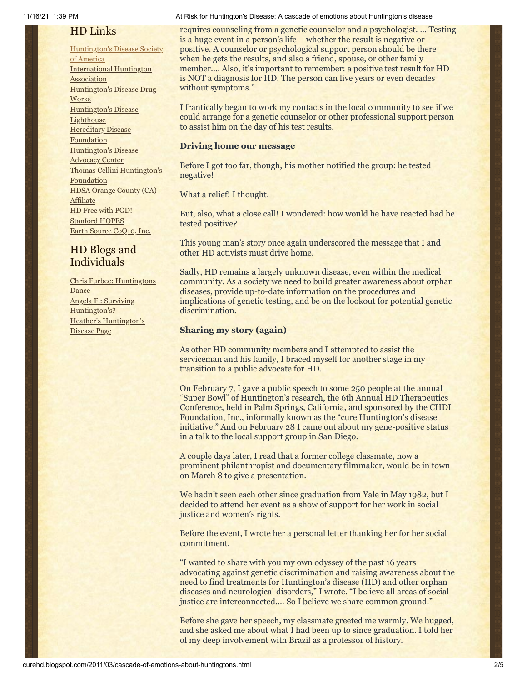# HD Links

[Huntington's](http://www.hdsa.org/) Disease Society of America [International](http://www.huntington-assoc.com/) Huntington **Association** [Huntington's](http://hddrugworks.org/) Disease Drug **Works** [Huntington's](http://www.hdlighthouse.org/) Disease **Lighthouse Hereditary Disease [Foundation](http://www.hdfoundation.org/)** [Huntington's](http://www.hdac.org/) Disease Advocacy Center Thomas [Cellini Huntington's](http://www.ourtchfoundation.org/) **Foundation** HDSA Orange County (CA) **[Affiliate](http://www.hdsaoc.org/)** HD Free with [PGD!](http://www.hdfreewithpgd.com/) [Stanford](http://www.stanford.edu/group/hopes/) HOPES Earth Source [CoQ10,](http://www.escoq10.com/) Inc.

# HD Blogs and Individuals

Chris Furbee: [Huntingtons](http://www.huntingtonsdance.org/) Dance Angela F.: Surviving [Huntington's?](http://survivinghuntingtons.blogspot.com/) Heather's [Huntington's](http://heatherdugdale.angelfire.com/) Disease Page

#### 11/16/21, 1:39 PM At Risk for Huntington's Disease: A cascade of emotions about Huntington's disease

requires counseling from a genetic counselor and a psychologist. … Testing is a huge event in a person's life – whether the result is negative or positive. A counselor or psychological support person should be there when he gets the results, and also a friend, spouse, or other family member.... Also, it's important to remember: a positive test result for HD is NOT a diagnosis for HD. The person can live years or even decades without symptoms."

I frantically began to work my contacts in the local community to see if we could arrange for a genetic counselor or other professional support person to assist him on the day of his test results.

### **Driving home our message**

Before I got too far, though, his mother notified the group: he tested negative!

What a relief! I thought.

But, also, what a close call! I wondered: how would he have reacted had he tested positive?

This young man's story once again underscored the message that I and other HD activists must drive home.

Sadly, HD remains a largely unknown disease, even within the medical community. As a society we need to build greater awareness about orphan diseases, provide up-to-date information on the procedures and implications of genetic testing, and be on the lookout for potential genetic discrimination.

### **Sharing my story (again)**

As other HD community members and I attempted to assist the serviceman and his family, I braced myself for another stage in my transition to a public advocate for HD.

On February 7, I gave a public speech to some 250 people at the annual "Super Bowl" of Huntington's research, the 6th Annual HD Therapeutics Conference, held in Palm Springs, California, and sponsored by the CHDI Foundation, Inc., informally known as the "cure Huntington's disease initiative." And on February 28 I came out about my gene-positive status in a talk to the local support group in San Diego.

A couple days later, I read that a former college classmate, now a prominent philanthropist and documentary filmmaker, would be in town on March 8 to give a presentation.

We hadn't seen each other since graduation from Yale in May 1982, but I decided to attend her event as a show of support for her work in social justice and women's rights.

Before the event, I wrote her a personal letter thanking her for her social commitment.

"I wanted to share with you my own odyssey of the past 16 years advocating against genetic discrimination and raising awareness about the need to find treatments for Huntington's disease (HD) and other orphan diseases and neurological disorders," I wrote. "I believe all areas of social justice are interconnected.… So I believe we share common ground."

Before she gave her speech, my classmate greeted me warmly. We hugged, and she asked me about what I had been up to since graduation. I told her of my deep involvement with Brazil as a professor of history.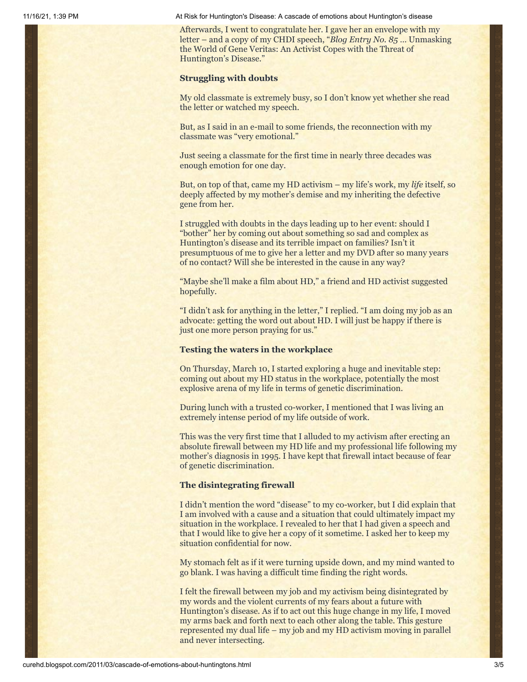11/16/21, 1:39 PM At Risk for Huntington's Disease: A cascade of emotions about Huntington's disease

Afterwards, I went to congratulate her. I gave her an envelope with my letter – and a copy of my CHDI speech, "*Blog Entry No. 85* … Unmasking the World of Gene Veritas: An Activist Copes with the Threat of Huntington's Disease."

#### **Struggling with doubts**

My old classmate is extremely busy, so I don't know yet whether she read the letter or watched my speech.

But, as I said in an e-mail to some friends, the reconnection with my classmate was "very emotional."

Just seeing a classmate for the first time in nearly three decades was enough emotion for one day.

But, on top of that, came my HD activism – my life's work, my *life* itself, so deeply affected by my mother's demise and my inheriting the defective gene from her.

I struggled with doubts in the days leading up to her event: should I "bother" her by coming out about something so sad and complex as Huntington's disease and its terrible impact on families? Isn't it presumptuous of me to give her a letter and my DVD after so many years of no contact? Will she be interested in the cause in any way?

"Maybe she'll make a film about HD," a friend and HD activist suggested hopefully.

"I didn't ask for anything in the letter," I replied. "I am doing my job as an advocate: getting the word out about HD. I will just be happy if there is just one more person praying for us."

#### **Testing the waters in the workplace**

On Thursday, March 10, I started exploring a huge and inevitable step: coming out about my HD status in the workplace, potentially the most explosive arena of my life in terms of genetic discrimination.

During lunch with a trusted co-worker, I mentioned that I was living an extremely intense period of my life outside of work.

This was the very first time that I alluded to my activism after erecting an absolute firewall between my HD life and my professional life following my mother's diagnosis in 1995. I have kept that firewall intact because of fear of genetic discrimination.

#### **The disintegrating firewall**

I didn't mention the word "disease" to my co-worker, but I did explain that I am involved with a cause and a situation that could ultimately impact my situation in the workplace. I revealed to her that I had given a speech and that I would like to give her a copy of it sometime. I asked her to keep my situation confidential for now.

My stomach felt as if it were turning upside down, and my mind wanted to go blank. I was having a difficult time finding the right words.

I felt the firewall between my job and my activism being disintegrated by my words and the violent currents of my fears about a future with Huntington's disease. As if to act out this huge change in my life, I moved my arms back and forth next to each other along the table. This gesture represented my dual life – my job and my HD activism moving in parallel and never intersecting.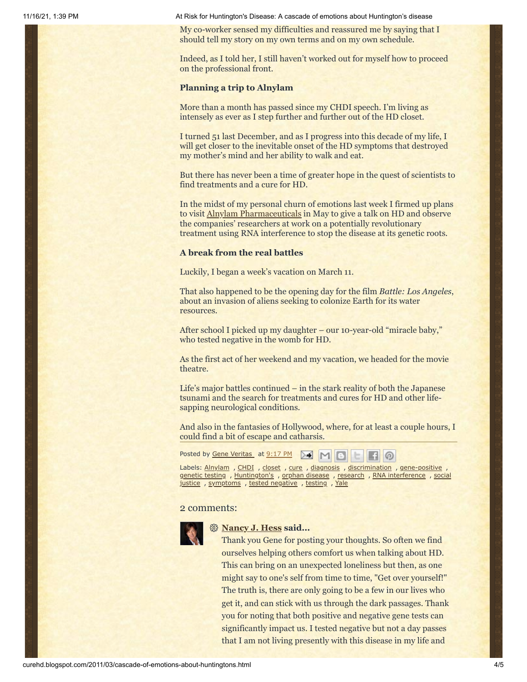11/16/21, 1:39 PM At Risk for Huntington's Disease: A cascade of emotions about Huntington's disease

My co-worker sensed my difficulties and reassured me by saying that I should tell my story on my own terms and on my own schedule.

Indeed, as I told her, I still haven't worked out for myself how to proceed on the professional front.

#### **Planning a trip to Alnylam**

More than a month has passed since my CHDI speech. I'm living as intensely as ever as I step further and further out of the HD closet.

I turned 51 last December, and as I progress into this decade of my life, I will get closer to the inevitable onset of the HD symptoms that destroyed my mother's mind and her ability to walk and eat.

But there has never been a time of greater hope in the quest of scientists to find treatments and a cure for HD.

In the midst of my personal churn of emotions last week I firmed up plans to visit [Alnylam Pharmaceuticals](http://www.alnylam.com/) in May to give a talk on HD and observe the companies' researchers at work on a potentially revolutionary treatment using RNA interference to stop the disease at its genetic roots.

#### **A break from the real battles**

Luckily, I began a week's vacation on March 11.

That also happened to be the opening day for the film *Battle: Los Angeles*, about an invasion of aliens seeking to colonize Earth for its water resources.

After school I picked up my daughter – our 10-year-old "miracle baby," who tested negative in the womb for HD.

As the first act of her weekend and my vacation, we headed for the movie theatre.

Life's major battles continued – in the stark reality of both the Japanese tsunami and the search for treatments and cures for HD and other lifesapping neurological conditions.

And also in the fantasies of Hollywood, where, for at least a couple hours, I could find a bit of escape and catharsis.



Labels: [Alnylam](http://curehd.blogspot.com/search/label/Alnylam) , [CHDI](http://curehd.blogspot.com/search/label/CHDI) , [closet](http://curehd.blogspot.com/search/label/closet) , [cure](http://curehd.blogspot.com/search/label/cure) , [diagnosis](http://curehd.blogspot.com/search/label/diagnosis) , [discrimination](http://curehd.blogspot.com/search/label/discrimination) , [gene-positive](http://curehd.blogspot.com/search/label/gene-positive) [genetic](http://curehd.blogspot.com/search/label/genetic%20testing) testing , [Huntington's](http://curehd.blogspot.com/search/label/Huntington%27s) , orphan [disease](http://curehd.blogspot.com/search/label/orphan%20disease) , [research](http://curehd.blogspot.com/search/label/research) , [RNA interference](http://curehd.blogspot.com/search/label/RNA%20interference) , social justice, [symptoms](http://curehd.blogspot.com/search/label/symptoms), tested [negative](http://curehd.blogspot.com/search/label/tested%20negative), [testing](http://curehd.blogspot.com/search/label/testing), [Yale](http://curehd.blogspot.com/search/label/Yale)

#### 2 comments:



#### **[Nancy J. Hess](https://www.blogger.com/profile/09696099659238248901) said...**

Thank you Gene for posting your thoughts. So often we find ourselves helping others comfort us when talking about HD. This can bring on an unexpected loneliness but then, as one might say to one's self from time to time, "Get over yourself!" The truth is, there are only going to be a few in our lives who get it, and can stick with us through the dark passages. Thank you for noting that both positive and negative gene tests can significantly impact us. I tested negative but not a day passes that I am not living presently with this disease in my life and